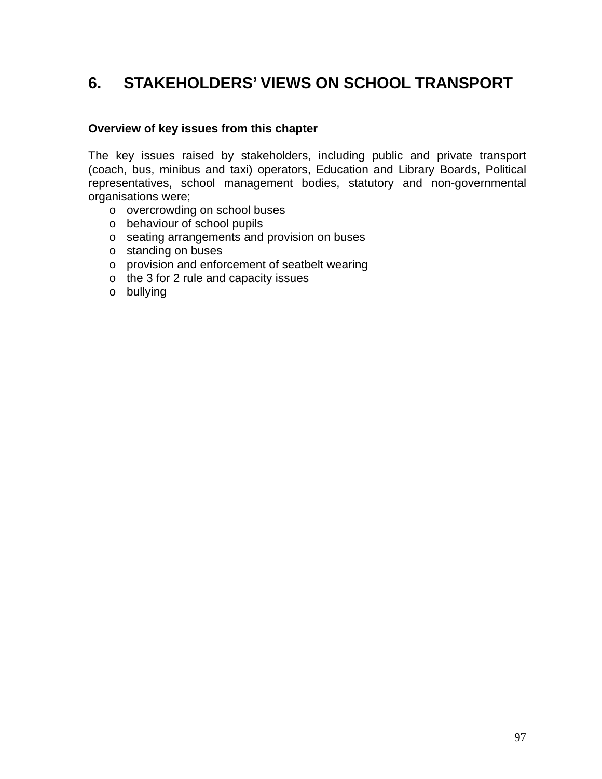# **6. STAKEHOLDERS' VIEWS ON SCHOOL TRANSPORT**

#### **Overview of key issues from this chapter**

The key issues raised by stakeholders, including public and private transport (coach, bus, minibus and taxi) operators, Education and Library Boards, Political representatives, school management bodies, statutory and non-governmental organisations were;

- o overcrowding on school buses
- o behaviour of school pupils
- o seating arrangements and provision on buses
- o standing on buses
- o provision and enforcement of seatbelt wearing
- o the 3 for 2 rule and capacity issues
- o bullying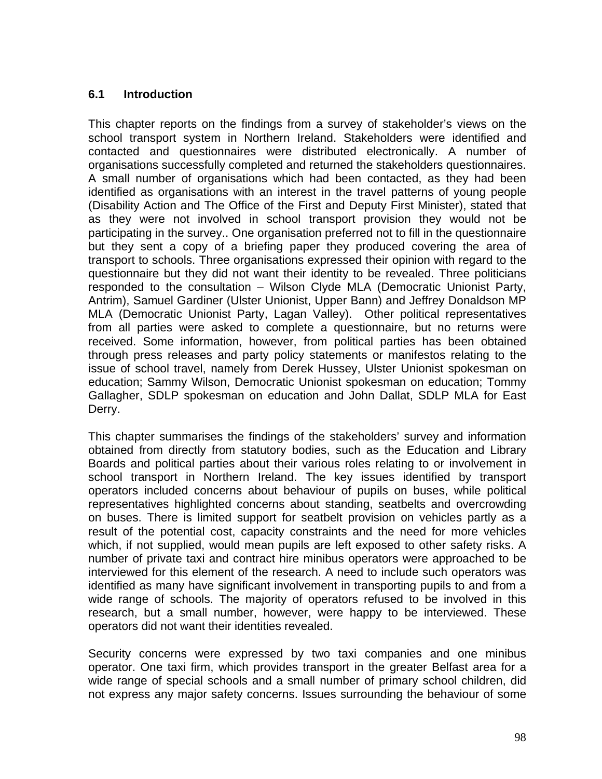## **6.1 Introduction**

This chapter reports on the findings from a survey of stakeholder's views on the school transport system in Northern Ireland. Stakeholders were identified and contacted and questionnaires were distributed electronically. A number of organisations successfully completed and returned the stakeholders questionnaires. A small number of organisations which had been contacted, as they had been identified as organisations with an interest in the travel patterns of young people (Disability Action and The Office of the First and Deputy First Minister), stated that as they were not involved in school transport provision they would not be participating in the survey.. One organisation preferred not to fill in the questionnaire but they sent a copy of a briefing paper they produced covering the area of transport to schools. Three organisations expressed their opinion with regard to the questionnaire but they did not want their identity to be revealed. Three politicians responded to the consultation – Wilson Clyde MLA (Democratic Unionist Party, Antrim), Samuel Gardiner (Ulster Unionist, Upper Bann) and Jeffrey Donaldson MP MLA (Democratic Unionist Party, Lagan Valley). Other political representatives from all parties were asked to complete a questionnaire, but no returns were received. Some information, however, from political parties has been obtained through press releases and party policy statements or manifestos relating to the issue of school travel, namely from Derek Hussey, Ulster Unionist spokesman on education; Sammy Wilson, Democratic Unionist spokesman on education; Tommy Gallagher, SDLP spokesman on education and John Dallat, SDLP MLA for East Derry.

This chapter summarises the findings of the stakeholders' survey and information obtained from directly from statutory bodies, such as the Education and Library Boards and political parties about their various roles relating to or involvement in school transport in Northern Ireland. The key issues identified by transport operators included concerns about behaviour of pupils on buses, while political representatives highlighted concerns about standing, seatbelts and overcrowding on buses. There is limited support for seatbelt provision on vehicles partly as a result of the potential cost, capacity constraints and the need for more vehicles which, if not supplied, would mean pupils are left exposed to other safety risks. A number of private taxi and contract hire minibus operators were approached to be interviewed for this element of the research. A need to include such operators was identified as many have significant involvement in transporting pupils to and from a wide range of schools. The majority of operators refused to be involved in this research, but a small number, however, were happy to be interviewed. These operators did not want their identities revealed.

Security concerns were expressed by two taxi companies and one minibus operator. One taxi firm, which provides transport in the greater Belfast area for a wide range of special schools and a small number of primary school children, did not express any major safety concerns. Issues surrounding the behaviour of some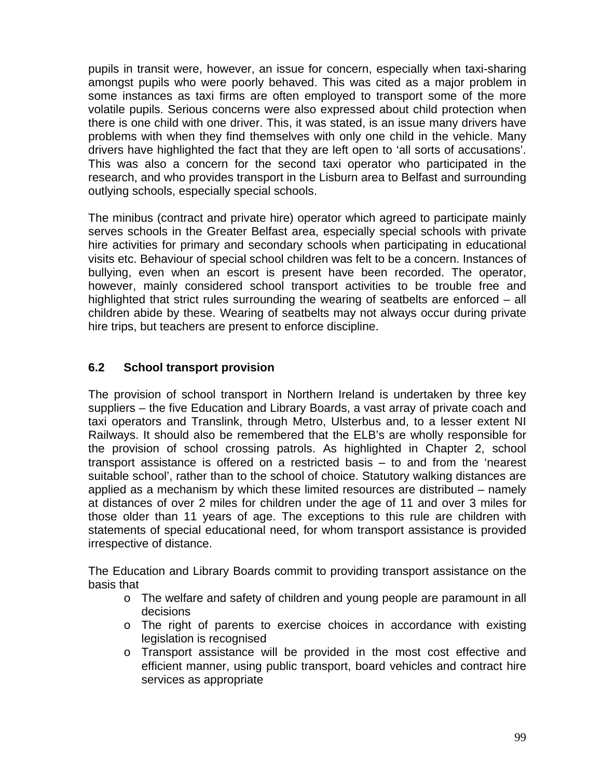pupils in transit were, however, an issue for concern, especially when taxi-sharing amongst pupils who were poorly behaved. This was cited as a major problem in some instances as taxi firms are often employed to transport some of the more volatile pupils. Serious concerns were also expressed about child protection when there is one child with one driver. This, it was stated, is an issue many drivers have problems with when they find themselves with only one child in the vehicle. Many drivers have highlighted the fact that they are left open to 'all sorts of accusations'. This was also a concern for the second taxi operator who participated in the research, and who provides transport in the Lisburn area to Belfast and surrounding outlying schools, especially special schools.

The minibus (contract and private hire) operator which agreed to participate mainly serves schools in the Greater Belfast area, especially special schools with private hire activities for primary and secondary schools when participating in educational visits etc. Behaviour of special school children was felt to be a concern. Instances of bullying, even when an escort is present have been recorded. The operator, however, mainly considered school transport activities to be trouble free and highlighted that strict rules surrounding the wearing of seatbelts are enforced – all children abide by these. Wearing of seatbelts may not always occur during private hire trips, but teachers are present to enforce discipline.

## **6.2 School transport provision**

The provision of school transport in Northern Ireland is undertaken by three key suppliers – the five Education and Library Boards, a vast array of private coach and taxi operators and Translink, through Metro, Ulsterbus and, to a lesser extent NI Railways. It should also be remembered that the ELB's are wholly responsible for the provision of school crossing patrols. As highlighted in Chapter 2, school transport assistance is offered on a restricted basis – to and from the 'nearest suitable school', rather than to the school of choice. Statutory walking distances are applied as a mechanism by which these limited resources are distributed – namely at distances of over 2 miles for children under the age of 11 and over 3 miles for those older than 11 years of age. The exceptions to this rule are children with statements of special educational need, for whom transport assistance is provided irrespective of distance.

The Education and Library Boards commit to providing transport assistance on the basis that

- o The welfare and safety of children and young people are paramount in all decisions
- o The right of parents to exercise choices in accordance with existing legislation is recognised
- o Transport assistance will be provided in the most cost effective and efficient manner, using public transport, board vehicles and contract hire services as appropriate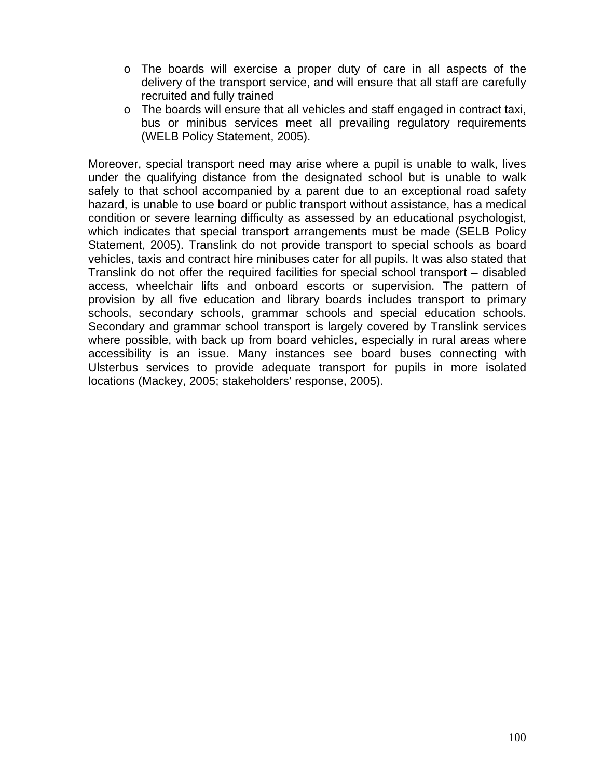- o The boards will exercise a proper duty of care in all aspects of the delivery of the transport service, and will ensure that all staff are carefully recruited and fully trained
- o The boards will ensure that all vehicles and staff engaged in contract taxi, bus or minibus services meet all prevailing regulatory requirements (WELB Policy Statement, 2005).

Moreover, special transport need may arise where a pupil is unable to walk, lives under the qualifying distance from the designated school but is unable to walk safely to that school accompanied by a parent due to an exceptional road safety hazard, is unable to use board or public transport without assistance, has a medical condition or severe learning difficulty as assessed by an educational psychologist, which indicates that special transport arrangements must be made (SELB Policy Statement, 2005). Translink do not provide transport to special schools as board vehicles, taxis and contract hire minibuses cater for all pupils. It was also stated that Translink do not offer the required facilities for special school transport – disabled access, wheelchair lifts and onboard escorts or supervision. The pattern of provision by all five education and library boards includes transport to primary schools, secondary schools, grammar schools and special education schools. Secondary and grammar school transport is largely covered by Translink services where possible, with back up from board vehicles, especially in rural areas where accessibility is an issue. Many instances see board buses connecting with Ulsterbus services to provide adequate transport for pupils in more isolated locations (Mackey, 2005; stakeholders' response, 2005).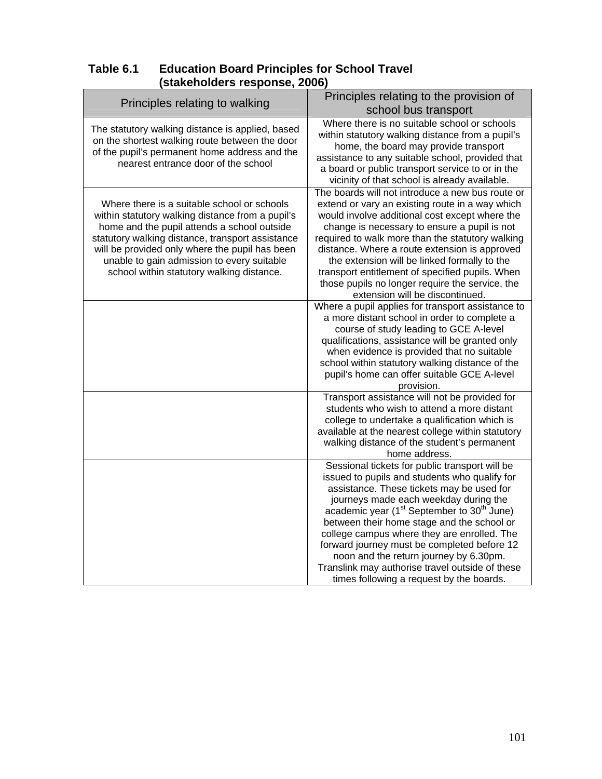| Table 6.1 | <b>Education Board Principles for School Travel</b> |
|-----------|-----------------------------------------------------|
|           | (stakeholders response, 2006)                       |

| Principles relating to walking                                                                                                                                                                                                                                                                                                                  | Principles relating to the provision of                                                                                                                                                                                                                                                                                                                                                                                                                                                                                                                  |
|-------------------------------------------------------------------------------------------------------------------------------------------------------------------------------------------------------------------------------------------------------------------------------------------------------------------------------------------------|----------------------------------------------------------------------------------------------------------------------------------------------------------------------------------------------------------------------------------------------------------------------------------------------------------------------------------------------------------------------------------------------------------------------------------------------------------------------------------------------------------------------------------------------------------|
|                                                                                                                                                                                                                                                                                                                                                 | school bus transport                                                                                                                                                                                                                                                                                                                                                                                                                                                                                                                                     |
| The statutory walking distance is applied, based<br>on the shortest walking route between the door<br>of the pupil's permanent home address and the<br>nearest entrance door of the school                                                                                                                                                      | Where there is no suitable school or schools<br>within statutory walking distance from a pupil's<br>home, the board may provide transport<br>assistance to any suitable school, provided that<br>a board or public transport service to or in the<br>vicinity of that school is already available.                                                                                                                                                                                                                                                       |
| Where there is a suitable school or schools<br>within statutory walking distance from a pupil's<br>home and the pupil attends a school outside<br>statutory walking distance, transport assistance<br>will be provided only where the pupil has been<br>unable to gain admission to every suitable<br>school within statutory walking distance. | The boards will not introduce a new bus route or<br>extend or vary an existing route in a way which<br>would involve additional cost except where the<br>change is necessary to ensure a pupil is not<br>required to walk more than the statutory walking<br>distance. Where a route extension is approved<br>the extension will be linked formally to the<br>transport entitlement of specified pupils. When<br>those pupils no longer require the service, the<br>extension will be discontinued.<br>Where a pupil applies for transport assistance to |
|                                                                                                                                                                                                                                                                                                                                                 | a more distant school in order to complete a<br>course of study leading to GCE A-level<br>qualifications, assistance will be granted only<br>when evidence is provided that no suitable<br>school within statutory walking distance of the<br>pupil's home can offer suitable GCE A-level<br>provision.                                                                                                                                                                                                                                                  |
|                                                                                                                                                                                                                                                                                                                                                 | Transport assistance will not be provided for<br>students who wish to attend a more distant<br>college to undertake a qualification which is<br>available at the nearest college within statutory<br>walking distance of the student's permanent<br>home address.                                                                                                                                                                                                                                                                                        |
|                                                                                                                                                                                                                                                                                                                                                 | Sessional tickets for public transport will be<br>issued to pupils and students who qualify for<br>assistance. These tickets may be used for<br>journeys made each weekday during the<br>academic year (1 <sup>st</sup> September to 30 <sup>th</sup> June)<br>between their home stage and the school or<br>college campus where they are enrolled. The<br>forward journey must be completed before 12<br>noon and the return journey by 6.30pm.<br>Translink may authorise travel outside of these<br>times following a request by the boards.         |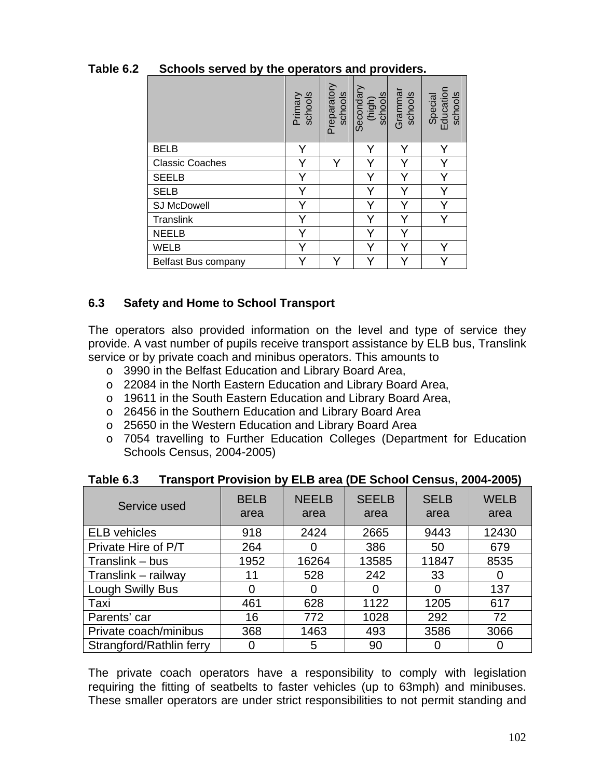|                        | Primary<br>schools | Preparatory<br>schools | Secondary<br>(high)<br>schools | Grammar<br>schools | Special<br>Education<br>schools |
|------------------------|--------------------|------------------------|--------------------------------|--------------------|---------------------------------|
| <b>BELB</b>            | Y                  |                        | Y                              | Y                  | Y                               |
| <b>Classic Coaches</b> | v                  |                        |                                | Y                  | Y                               |
| <b>SEELB</b>           | Y                  |                        | Υ                              | Y                  | Y                               |
| <b>SELB</b>            | Y                  |                        | Y                              | Y                  | Ÿ                               |
| <b>SJ McDowell</b>     | Y                  |                        |                                | Y                  | Ý                               |
| Translink              | Y                  |                        | v                              | Y                  | $\checkmark$                    |
| <b>NEELB</b>           | Y                  |                        | Y                              | Y                  |                                 |
| <b>WELB</b>            | Y                  |                        | Y                              |                    |                                 |
| Belfast Bus company    |                    |                        |                                |                    |                                 |

# **Table 6.2 Schools served by the operators and providers.**

## **6.3 Safety and Home to School Transport**

The operators also provided information on the level and type of service they provide. A vast number of pupils receive transport assistance by ELB bus, Translink service or by private coach and minibus operators. This amounts to

- o 3990 in the Belfast Education and Library Board Area,
- o 22084 in the North Eastern Education and Library Board Area,
- o 19611 in the South Eastern Education and Library Board Area,
- o 26456 in the Southern Education and Library Board Area
- o 25650 in the Western Education and Library Board Area
- o 7054 travelling to Further Education Colleges (Department for Education Schools Census, 2004-2005)

| Service used             | <b>BELB</b><br>area | <b>NEELB</b><br>area | <b>SEELB</b><br>area | <b>SELB</b><br>area | <b>WELB</b><br>area |
|--------------------------|---------------------|----------------------|----------------------|---------------------|---------------------|
| <b>ELB</b> vehicles      | 918                 | 2424                 | 2665                 | 9443                | 12430               |
| Private Hire of P/T      | 264                 | 0                    | 386                  | 50                  | 679                 |
| Translink – bus          | 1952                | 16264                | 13585                | 11847               | 8535                |
| Translink - railway      | 11                  | 528                  | 242                  | 33                  |                     |
| Lough Swilly Bus         | 0                   | 0                    | 0                    |                     | 137                 |
| Taxi                     | 461                 | 628                  | 1122                 | 1205                | 617                 |
| Parents' car             | 16                  | 772                  | 1028                 | 292                 | 72                  |
| Private coach/minibus    | 368                 | 1463                 | 493                  | 3586                | 3066                |
| Strangford/Rathlin ferry | 0                   | 5                    | 90                   |                     |                     |

**Table 6.3 Transport Provision by ELB area (DE School Census, 2004-2005)** 

The private coach operators have a responsibility to comply with legislation requiring the fitting of seatbelts to faster vehicles (up to 63mph) and minibuses. These smaller operators are under strict responsibilities to not permit standing and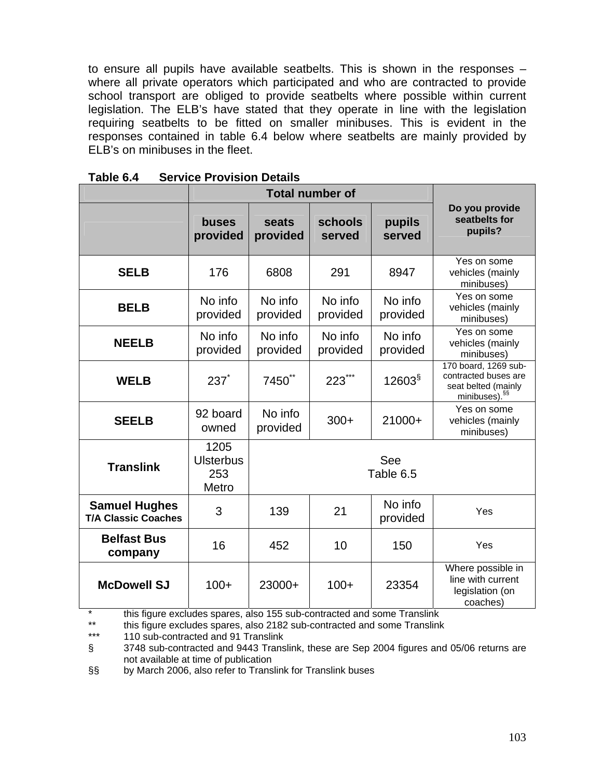to ensure all pupils have available seatbelts. This is shown in the responses – where all private operators which participated and who are contracted to provide school transport are obliged to provide seatbelts where possible within current legislation. The ELB's have stated that they operate in line with the legislation requiring seatbelts to be fitted on smaller minibuses. This is evident in the responses contained in table 6.4 below where seatbelts are mainly provided by ELB's on minibuses in the fleet.

|                                                    | buses<br>provided                        | seats<br>provided   | schools<br>served   | pupils<br>served    | Do you provide<br>seatbelts for<br>pupils?                                                       |
|----------------------------------------------------|------------------------------------------|---------------------|---------------------|---------------------|--------------------------------------------------------------------------------------------------|
| <b>SELB</b>                                        | 176                                      | 6808                | 291                 | 8947                | Yes on some<br>vehicles (mainly<br>minibuses)                                                    |
| <b>BELB</b>                                        | No info<br>provided                      | No info<br>provided | No info<br>provided | No info<br>provided | Yes on some<br>vehicles (mainly<br>minibuses)                                                    |
| <b>NEELB</b>                                       | No info<br>provided                      | No info<br>provided | No info<br>provided | No info<br>provided | Yes on some<br>vehicles (mainly<br>minibuses)                                                    |
| <b>WELB</b>                                        | $237*$                                   | 7450 <sup>**</sup>  | $223***$            | $12603^{\S}$        | 170 board, 1269 sub-<br>contracted buses are<br>seat belted (mainly<br>minibuses). <sup>§§</sup> |
| <b>SEELB</b>                                       | 92 board<br>owned                        | No info<br>provided | $300+$              | 21000+              | Yes on some<br>vehicles (mainly<br>minibuses)                                                    |
| <b>Translink</b>                                   | 1205<br><b>Ulsterbus</b><br>253<br>Metro |                     | Table 6.5           |                     |                                                                                                  |
| <b>Samuel Hughes</b><br><b>T/A Classic Coaches</b> | 3                                        | 139                 | 21                  | No info<br>provided | Yes                                                                                              |
| <b>Belfast Bus</b><br>company                      | 16                                       | 452                 | 10                  | 150                 | Yes                                                                                              |
| <b>McDowell SJ</b>                                 | $100+$                                   | 23000+              | $100+$              | 23354               | Where possible in<br>line with current<br>legislation (on<br>coaches)                            |

**Table 6.4 Service Provision Details** 

\* this figure excludes spares, also 155 sub-contracted and some Translink<br>\*\* this figure excludes apares, also 2182 sub-contracted and some Translink

\*\* this figure excludes spares, also 2182 sub-contracted and some Translink<br>\*\*\* 110 sub-contracted and 91 Translink

110 sub-contracted and 91 Translink

§ 3748 sub-contracted and 9443 Translink, these are Sep 2004 figures and 05/06 returns are not available at time of publication

§§ by March 2006, also refer to Translink for Translink buses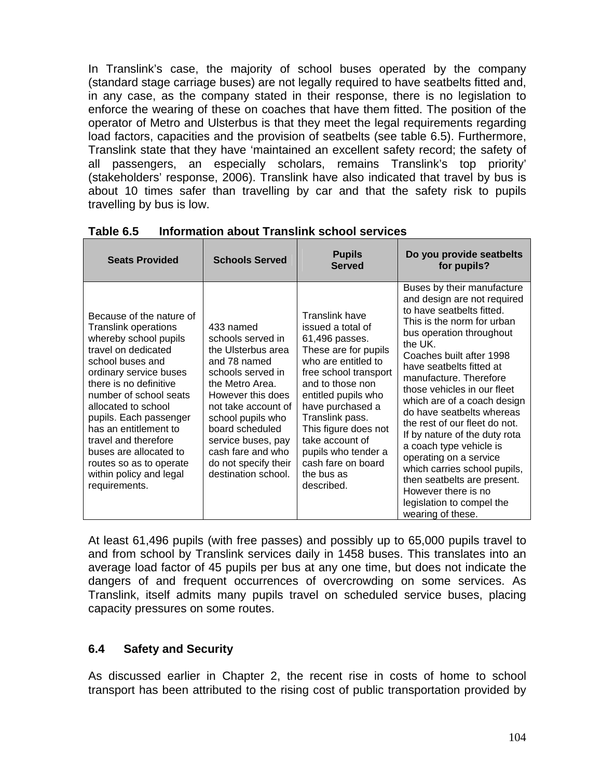In Translink's case, the majority of school buses operated by the company (standard stage carriage buses) are not legally required to have seatbelts fitted and, in any case, as the company stated in their response, there is no legislation to enforce the wearing of these on coaches that have them fitted. The position of the operator of Metro and Ulsterbus is that they meet the legal requirements regarding load factors, capacities and the provision of seatbelts (see table 6.5). Furthermore, Translink state that they have 'maintained an excellent safety record; the safety of all passengers, an especially scholars, remains Translink's top priority' (stakeholders' response, 2006). Translink have also indicated that travel by bus is about 10 times safer than travelling by car and that the safety risk to pupils travelling by bus is low.

<span id="page-7-0"></span>

| <b>Seats Provided</b>                                                                                                                                                                                                                                                                                                                                                                                        | <b>Schools Served</b>                                                                                                                                                                                                                                                                      | <b>Pupils</b><br><b>Served</b>                                                                                                                                                                                                                                                                                                      | Do you provide seatbelts<br>for pupils?                                                                                                                                                                                                                                                                                                                                                                                                                                                                                                                                                                 |
|--------------------------------------------------------------------------------------------------------------------------------------------------------------------------------------------------------------------------------------------------------------------------------------------------------------------------------------------------------------------------------------------------------------|--------------------------------------------------------------------------------------------------------------------------------------------------------------------------------------------------------------------------------------------------------------------------------------------|-------------------------------------------------------------------------------------------------------------------------------------------------------------------------------------------------------------------------------------------------------------------------------------------------------------------------------------|---------------------------------------------------------------------------------------------------------------------------------------------------------------------------------------------------------------------------------------------------------------------------------------------------------------------------------------------------------------------------------------------------------------------------------------------------------------------------------------------------------------------------------------------------------------------------------------------------------|
| Because of the nature of<br><b>Translink operations</b><br>whereby school pupils<br>travel on dedicated<br>school buses and<br>ordinary service buses<br>there is no definitive<br>number of school seats<br>allocated to school<br>pupils. Each passenger<br>has an entitlement to<br>travel and therefore<br>buses are allocated to<br>routes so as to operate<br>within policy and legal<br>requirements. | 433 named<br>schools served in<br>the Ulsterbus area<br>and 78 named<br>schools served in<br>the Metro Area.<br>However this does<br>not take account of<br>school pupils who<br>board scheduled<br>service buses, pay<br>cash fare and who<br>do not specify their<br>destination school. | Translink have<br>issued a total of<br>61,496 passes.<br>These are for pupils<br>who are entitled to<br>free school transport<br>and to those non<br>entitled pupils who<br>have purchased a<br>Translink pass.<br>This figure does not<br>take account of<br>pupils who tender a<br>cash fare on board<br>the bus as<br>described. | Buses by their manufacture<br>and design are not required<br>to have seatbelts fitted.<br>This is the norm for urban<br>bus operation throughout<br>the UK.<br>Coaches built after 1998<br>have seatbelts fitted at<br>manufacture. Therefore<br>those vehicles in our fleet<br>which are of a coach design<br>do have seatbelts whereas<br>the rest of our fleet do not.<br>If by nature of the duty rota<br>a coach type vehicle is<br>operating on a service<br>which carries school pupils,<br>then seatbelts are present.<br>However there is no<br>legislation to compel the<br>wearing of these. |

**Table 6.5 Information about Translink school services** 

At least 61,496 pupils (with free passes) and possibly up to 65,000 pupils travel to and from school by Translink services daily in 1458 buses. This translates into an average load factor of 45 pupils per bus at any one time, but does not indicate the dangers of and frequent occurrences of overcrowding on some services. As Translink, itself admits many pupils travel on scheduled service buses, placing capacity pressures on some routes.

# **6.4 Safety and Security**

As discussed earlier in Chapter 2, the recent rise in costs of home to school transport has been attributed to the rising cost of public transportation provided by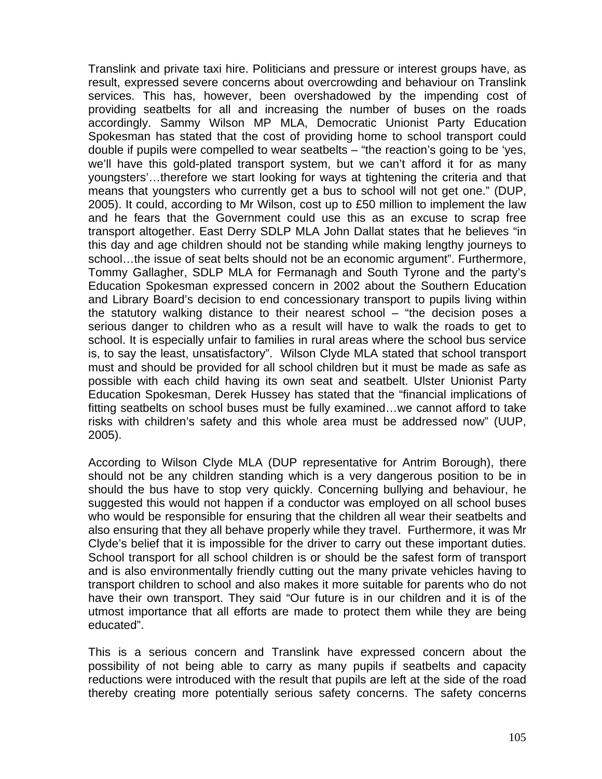Translink and private taxi hire. Politicians and pressure or interest groups have, as result, expressed severe concerns about overcrowding and behaviour on Translink services. This has, however, been overshadowed by the impending cost of providing seatbelts for all and increasing the number of buses on the roads accordingly. Sammy Wilson MP MLA, Democratic Unionist Party Education Spokesman has stated that the cost of providing home to school transport could double if pupils were compelled to wear seatbelts – "the reaction's going to be 'yes, we'll have this gold-plated transport system, but we can't afford it for as many youngsters'…therefore we start looking for ways at tightening the criteria and that means that youngsters who currently get a bus to school will not get one." (DUP, 2005). It could, according to Mr Wilson, cost up to £50 million to implement the law and he fears that the Government could use this as an excuse to scrap free transport altogether. East Derry SDLP MLA John Dallat states that he believes "in this day and age children should not be standing while making lengthy journeys to school…the issue of seat belts should not be an economic argument". Furthermore, Tommy Gallagher, SDLP MLA for Fermanagh and South Tyrone and the party's Education Spokesman expressed concern in 2002 about the Southern Education and Library Board's decision to end concessionary transport to pupils living within the statutory walking distance to their nearest school – "the decision poses a serious danger to children who as a result will have to walk the roads to get to school. It is especially unfair to families in rural areas where the school bus service is, to say the least, unsatisfactory". Wilson Clyde MLA stated that school transport must and should be provided for all school children but it must be made as safe as possible with each child having its own seat and seatbelt. Ulster Unionist Party Education Spokesman, Derek Hussey has stated that the "financial implications of fitting seatbelts on school buses must be fully examined…we cannot afford to take risks with children's safety and this whole area must be addressed now" (UUP, 2005).

According to Wilson Clyde MLA (DUP representative for Antrim Borough), there should not be any children standing which is a very dangerous position to be in should the bus have to stop very quickly. Concerning bullying and behaviour, he suggested this would not happen if a conductor was employed on all school buses who would be responsible for ensuring that the children all wear their seatbelts and also ensuring that they all behave properly while they travel. Furthermore, it was Mr Clyde's belief that it is impossible for the driver to carry out these important duties. School transport for all school children is or should be the safest form of transport and is also environmentally friendly cutting out the many private vehicles having to transport children to school and also makes it more suitable for parents who do not have their own transport. They said "Our future is in our children and it is of the utmost importance that all efforts are made to protect them while they are being educated".

This is a serious concern and Translink have expressed concern about the possibility of not being able to carry as many pupils if seatbelts and capacity reductions were introduced with the result that pupils are left at the side of the road thereby creating more potentially serious safety concerns. The safety concerns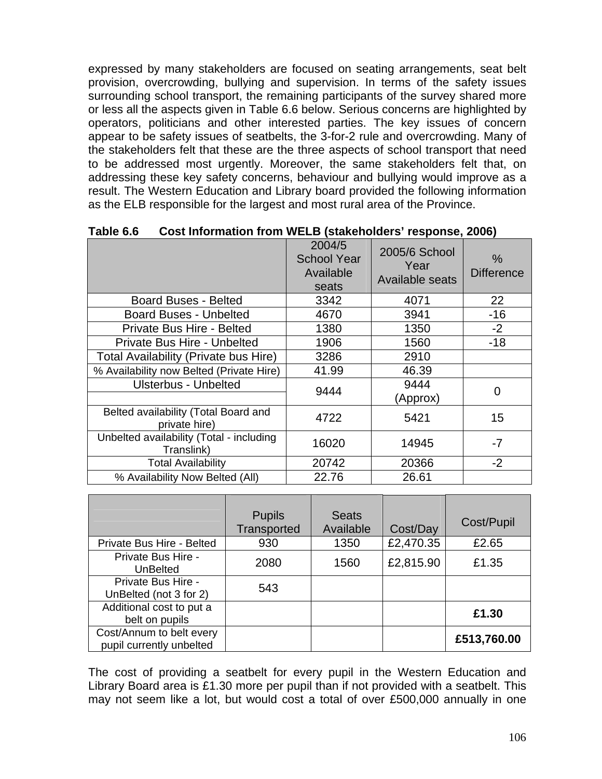expressed by many stakeholders are focused on seating arrangements, seat belt provision, overcrowding, bullying and supervision. In terms of the safety issues surrounding school transport, the remaining participants of the survey shared more or less all the aspects given in Table 6.6 below. Serious concerns are highlighted by operators, politicians and other interested parties. The key issues of concern appear to be safety issues of seatbelts, the 3-for-2 rule and overcrowding. Many of the stakeholders felt that these are the three aspects of school transport that need to be addressed most urgently. Moreover, the same stakeholders felt that, on addressing these key safety concerns, behaviour and bullying would improve as a result. The Western Education and Library board provided the following information as the ELB responsible for the largest and most rural area of the Province.

|                                                        | 2004/5<br><b>School Year</b><br>Available<br>seats | 2005/6 School<br>Year<br>Available seats | $\%$<br><b>Difference</b> |
|--------------------------------------------------------|----------------------------------------------------|------------------------------------------|---------------------------|
| <b>Board Buses - Belted</b>                            | 3342                                               | 4071                                     | 22                        |
| <b>Board Buses - Unbelted</b>                          | 4670                                               | 3941                                     | $-16$                     |
| Private Bus Hire - Belted                              | 1380                                               | 1350                                     | $-2$                      |
| Private Bus Hire - Unbelted                            | 1906                                               | 1560                                     | $-18$                     |
| <b>Total Availability (Private bus Hire)</b>           | 3286                                               | 2910                                     |                           |
| % Availability now Belted (Private Hire)               | 41.99                                              | 46.39                                    |                           |
| <b>Ulsterbus - Unbelted</b>                            | 9444                                               | 9444                                     | 0                         |
|                                                        |                                                    | (Approx)                                 |                           |
| Belted availability (Total Board and<br>private hire)  | 4722                                               | 5421                                     | 15                        |
| Unbelted availability (Total - including<br>Translink) | 16020                                              | 14945                                    | $-7$                      |
| <b>Total Availability</b>                              | 20742                                              | 20366                                    | $-2$                      |
| % Availability Now Belted (All)                        | 22.76                                              | 26.61                                    |                           |

**Table 6.6 Cost Information from WELB (stakeholders' response, 2006)** 

|                                                      | <b>Pupils</b><br>Transported | <b>Seats</b><br>Available | Cost/Day  | Cost/Pupil  |
|------------------------------------------------------|------------------------------|---------------------------|-----------|-------------|
| Private Bus Hire - Belted                            | 930                          | 1350                      | £2,470.35 | £2.65       |
| Private Bus Hire -<br><b>UnBelted</b>                | 2080                         | 1560                      | £2,815.90 | £1.35       |
| Private Bus Hire -<br>UnBelted (not 3 for 2)         | 543                          |                           |           |             |
| Additional cost to put a<br>belt on pupils           |                              |                           |           | £1.30       |
| Cost/Annum to belt every<br>pupil currently unbelted |                              |                           |           | £513,760.00 |

The cost of providing a seatbelt for every pupil in the Western Education and Library Board area is £1.30 more per pupil than if not provided with a seatbelt. This may not seem like a lot, but would cost a total of over £500,000 annually in one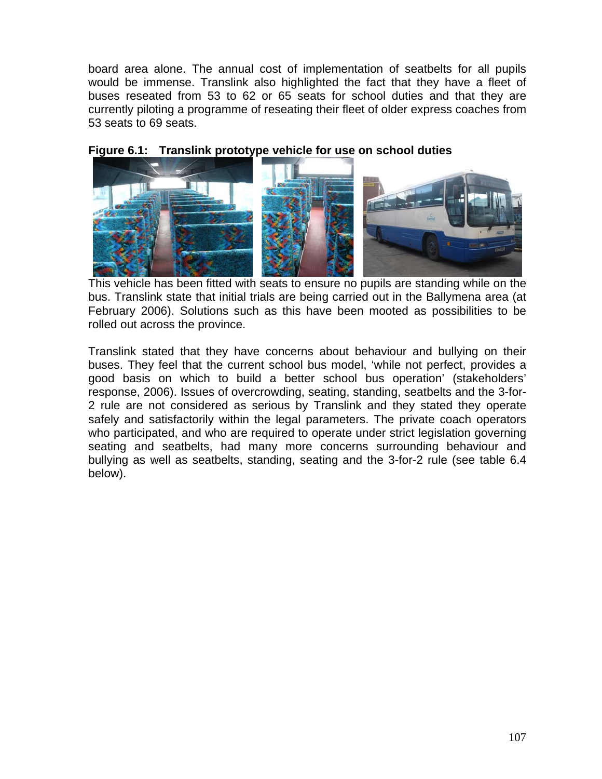board area alone. The annual cost of implementation of seatbelts for all pupils would be immense. Translink also highlighted the fact that they have a fleet of buses reseated from 53 to 62 or 65 seats for school duties and that they are currently piloting a programme of reseating their fleet of older express coaches from 53 seats to 69 seats.

#### **Figure 6.1: Translink prototype vehicle for use on school duties**



 This vehicle has been fitted with seats to ensure no pupils are standing while on the bus. Translink state that initial trials are being carried out in the Ballymena area (at February 2006). Solutions such as this have been mooted as possibilities to be rolled out across the province.

Translink stated that they have concerns about behaviour and bullying on their buses. They feel that the current school bus model, 'while not perfect, provides a good basis on which to build a better school bus operation' (stakeholders' response, 2006). Issues of overcrowding, seating, standing, seatbelts and the 3-for-2 rule are not considered as serious by Translink and they stated they operate safely and satisfactorily within the legal parameters. The private coach operators who participated, and who are required to operate under strict legislation governing seating and seatbelts, had many more concerns surrounding behaviour and bullying as well as seatbelts, standing, seating and the 3-for-2 rule (see table 6.4 below).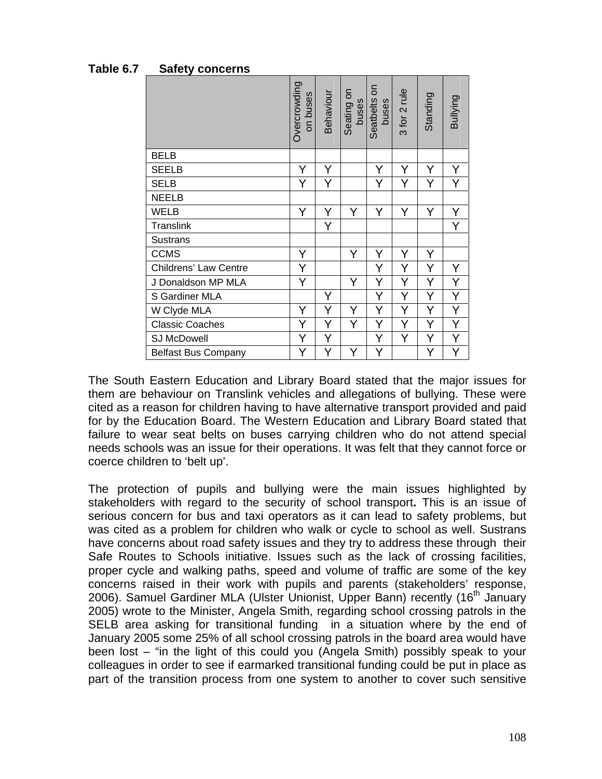|                              | Overcrowding<br>on buses | Behaviour | Seating on<br>buses | $\epsilon$<br>Seatbelts<br>buses | 3 for 2 rule | Standing | Bullying |
|------------------------------|--------------------------|-----------|---------------------|----------------------------------|--------------|----------|----------|
| <b>BELB</b>                  |                          |           |                     |                                  |              |          |          |
| <b>SEELB</b>                 | Y                        | Y         |                     | Y                                | Υ            | Y        | Υ        |
| <b>SELB</b>                  | Y                        | Y         |                     | Y                                | Y            | Y        | Y        |
| <b>NEELB</b>                 |                          |           |                     |                                  |              |          |          |
| <b>WELB</b>                  | Y                        | Y         | Y                   | Y                                | Y            | Y        | Υ        |
| Translink                    |                          | Y         |                     |                                  |              |          | Y        |
| <b>Sustrans</b>              |                          |           |                     |                                  |              |          |          |
| <b>CCMS</b>                  | Υ                        |           | Y                   | Υ                                | Υ            | Υ        |          |
| <b>Childrens' Law Centre</b> | Y                        |           |                     | Υ                                | Y            | Y        | Y        |
| J Donaldson MP MLA           | Y                        |           | Y                   | Υ                                | Υ            | Y        | Υ        |
| S Gardiner MLA               |                          | Υ         |                     | Υ                                | Y            | Y        | Y        |
| W Clyde MLA                  | Y                        | Y         | Y                   | Υ                                | Y            | Y        | Y        |
| <b>Classic Coaches</b>       | Y                        | Y         | Y                   | Υ                                | Y            | Υ        | Y        |
| <b>SJ McDowell</b>           | Y                        | Υ         |                     | Υ                                | Y            | Υ        | Y        |
| <b>Belfast Bus Company</b>   | Y                        | Y         | Y                   | Y                                |              | Y        | Y        |

**Table 6.7 Safety concerns** 

The South Eastern Education and Library Board stated that the major issues for them are behaviour on Translink vehicles and allegations of bullying. These were cited as a reason for children having to have alternative transport provided and paid for by the Education Board. The Western Education and Library Board stated that failure to wear seat belts on buses carrying children who do not attend special needs schools was an issue for their operations. It was felt that they cannot force or coerce children to 'belt up'.

The protection of pupils and bullying were the main issues highlighted by stakeholders with regard to the security of school transport**.** This is an issue of serious concern for bus and taxi operators as it can lead to safety problems, but was cited as a problem for children who walk or cycle to school as well. Sustrans have concerns about road safety issues and they try to address these through their Safe Routes to Schools initiative. Issues such as the lack of crossing facilities, proper cycle and walking paths, speed and volume of traffic are some of the key concerns raised in their work with pupils and parents (stakeholders' response, 2006). Samuel Gardiner MLA (Ulster Unionist, Upper Bann) recently (16<sup>th</sup> January 2005) wrote to the Minister, Angela Smith, regarding school crossing patrols in the SELB area asking for transitional funding in a situation where by the end of January 2005 some 25% of all school crossing patrols in the board area would have been lost – "in the light of this could you (Angela Smith) possibly speak to your colleagues in order to see if earmarked transitional funding could be put in place as part of the transition process from one system to another to cover such sensitive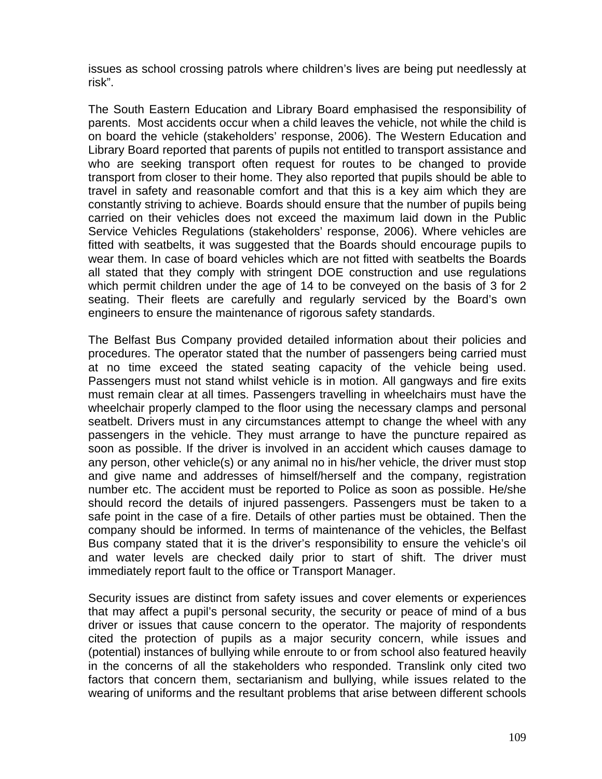issues as school crossing patrols where children's lives are being put needlessly at risk".

The South Eastern Education and Library Board emphasised the responsibility of parents. Most accidents occur when a child leaves the vehicle, not while the child is on board the vehicle (stakeholders' response, 2006). The Western Education and Library Board reported that parents of pupils not entitled to transport assistance and who are seeking transport often request for routes to be changed to provide transport from closer to their home. They also reported that pupils should be able to travel in safety and reasonable comfort and that this is a key aim which they are constantly striving to achieve. Boards should ensure that the number of pupils being carried on their vehicles does not exceed the maximum laid down in the Public Service Vehicles Regulations (stakeholders' response, 2006). Where vehicles are fitted with seatbelts, it was suggested that the Boards should encourage pupils to wear them. In case of board vehicles which are not fitted with seatbelts the Boards all stated that they comply with stringent DOE construction and use regulations which permit children under the age of 14 to be conveyed on the basis of 3 for 2 seating. Their fleets are carefully and regularly serviced by the Board's own engineers to ensure the maintenance of rigorous safety standards.

The Belfast Bus Company provided detailed information about their policies and procedures. The operator stated that the number of passengers being carried must at no time exceed the stated seating capacity of the vehicle being used. Passengers must not stand whilst vehicle is in motion. All gangways and fire exits must remain clear at all times. Passengers travelling in wheelchairs must have the wheelchair properly clamped to the floor using the necessary clamps and personal seatbelt. Drivers must in any circumstances attempt to change the wheel with any passengers in the vehicle. They must arrange to have the puncture repaired as soon as possible. If the driver is involved in an accident which causes damage to any person, other vehicle(s) or any animal no in his/her vehicle, the driver must stop and give name and addresses of himself/herself and the company, registration number etc. The accident must be reported to Police as soon as possible. He/she should record the details of injured passengers. Passengers must be taken to a safe point in the case of a fire. Details of other parties must be obtained. Then the company should be informed. In terms of maintenance of the vehicles, the Belfast Bus company stated that it is the driver's responsibility to ensure the vehicle's oil and water levels are checked daily prior to start of shift. The driver must immediately report fault to the office or Transport Manager.

Security issues are distinct from safety issues and cover elements or experiences that may affect a pupil's personal security, the security or peace of mind of a bus driver or issues that cause concern to the operator. The majority of respondents cited the protection of pupils as a major security concern, while issues and (potential) instances of bullying while enroute to or from school also featured heavily in the concerns of all the stakeholders who responded. Translink only cited two factors that concern them, sectarianism and bullying, while issues related to the wearing of uniforms and the resultant problems that arise between different schools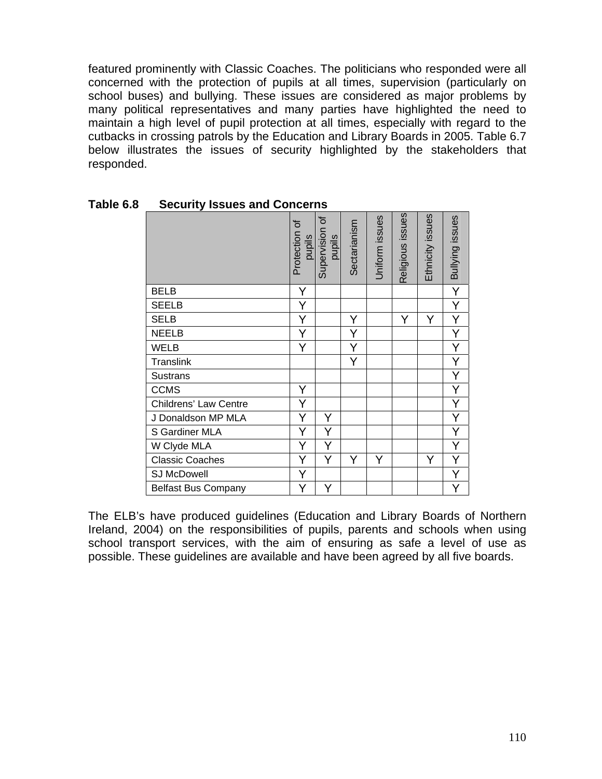featured prominently with Classic Coaches. The politicians who responded were all concerned with the protection of pupils at all times, supervision (particularly on school buses) and bullying. These issues are considered as major problems by many political representatives and many parties have highlighted the need to maintain a high level of pupil protection at all times, especially with regard to the cutbacks in crossing patrols by the Education and Library Boards in 2005. Table 6.7 below illustrates the issues of security highlighted by the stakeholders that responded.

|                              | Protection of<br>pupils | Supervision of<br>pupils | Sectarianism | Uniform issues | Religious issues | Ethnicity issues | Bullying issues         |
|------------------------------|-------------------------|--------------------------|--------------|----------------|------------------|------------------|-------------------------|
| <b>BELB</b>                  | Y                       |                          |              |                |                  |                  | $\overline{Y}$          |
| <b>SEELB</b>                 | Y                       |                          |              |                |                  |                  | Y                       |
| <b>SELB</b>                  | Y                       |                          | Y            |                | Y                | Y                | $\overline{Y}$          |
| <b>NEELB</b>                 | Y                       |                          | Υ            |                |                  |                  | Y                       |
| <b>WELB</b>                  | Y                       |                          | Y            |                |                  |                  | $\overline{\mathsf{Y}}$ |
| <b>Translink</b>             |                         |                          | Y            |                |                  |                  | $\overline{\mathsf{Y}}$ |
| <b>Sustrans</b>              |                         |                          |              |                |                  |                  | $\overline{Y}$          |
| <b>CCMS</b>                  | Y                       |                          |              |                |                  |                  | $\overline{Y}$          |
| <b>Childrens' Law Centre</b> | Y                       |                          |              |                |                  |                  | $\overline{Y}$          |
| J Donaldson MP MLA           | Y                       | Υ                        |              |                |                  |                  | $\overline{Y}$          |
| S Gardiner MLA               | Y                       | Y                        |              |                |                  |                  | $\overline{Y}$          |
| W Clyde MLA                  | Y                       | Y                        |              |                |                  |                  | Y                       |
| <b>Classic Coaches</b>       |                         | Y                        | Y            | Y              |                  | Υ                | Y                       |
| SJ McDowell                  |                         |                          |              |                |                  |                  | Y                       |
| <b>Belfast Bus Company</b>   |                         |                          |              |                |                  |                  | Y                       |

**Table 6.8 Security Issues and Concerns** 

The ELB's have produced guidelines (Education and Library Boards of Northern Ireland, 2004) on the responsibilities of pupils, parents and schools when using school transport services, with the aim of ensuring as safe a level of use as possible. These guidelines are available and have been agreed by all five boards.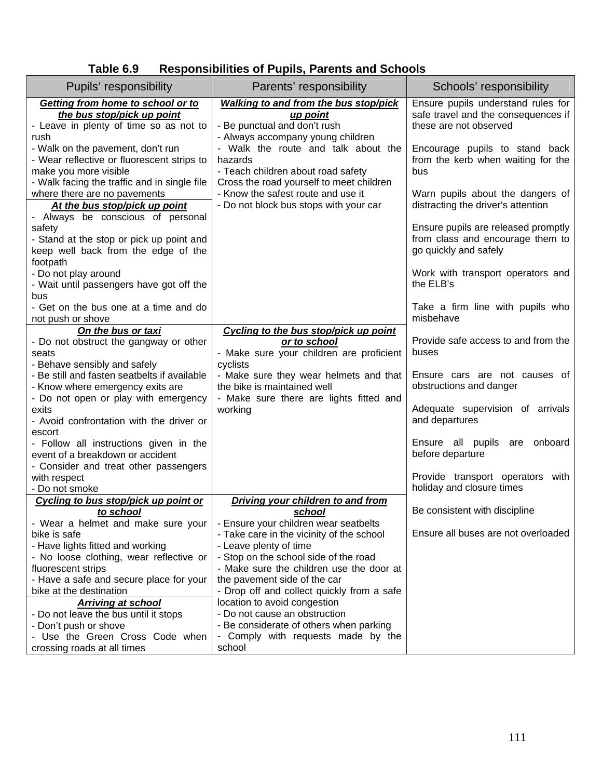| <b>Responsibilities of Pupils, Parents and Schools</b><br>Table 6.9 |  |
|---------------------------------------------------------------------|--|
|---------------------------------------------------------------------|--|

| Pupils' responsibility                                                                                                           | Parents' responsibility                                                                                                   | Schools' responsibility                                                                             |
|----------------------------------------------------------------------------------------------------------------------------------|---------------------------------------------------------------------------------------------------------------------------|-----------------------------------------------------------------------------------------------------|
| Getting from home to school or to<br>the bus stop/pick up point<br>- Leave in plenty of time so as not to                        | <b>Walking to and from the bus stop/pick</b><br><u>up point</u><br>- Be punctual and don't rush                           | Ensure pupils understand rules for<br>safe travel and the consequences if<br>these are not observed |
| rush<br>- Walk on the pavement, don't run<br>- Wear reflective or fluorescent strips to<br>make you more visible                 | - Always accompany young children<br>- Walk the route and talk about the<br>hazards<br>- Teach children about road safety | Encourage pupils to stand back<br>from the kerb when waiting for the<br>bus                         |
| - Walk facing the traffic and in single file<br>where there are no pavements<br>At the bus stop/pick up point                    | Cross the road yourself to meet children<br>- Know the safest route and use it<br>- Do not block bus stops with your car  | Warn pupils about the dangers of<br>distracting the driver's attention                              |
| - Always be conscious of personal<br>safety<br>- Stand at the stop or pick up point and<br>keep well back from the edge of the   |                                                                                                                           | Ensure pupils are released promptly<br>from class and encourage them to<br>go quickly and safely    |
| footpath<br>- Do not play around<br>- Wait until passengers have got off the<br>bus                                              |                                                                                                                           | Work with transport operators and<br>the ELB's                                                      |
| - Get on the bus one at a time and do<br>not push or shove                                                                       |                                                                                                                           | Take a firm line with pupils who<br>misbehave                                                       |
| On the bus or taxi<br>- Do not obstruct the gangway or other<br>seats                                                            | Cycling to the bus stop/pick up point<br>or to school<br>- Make sure your children are proficient                         | Provide safe access to and from the<br>buses                                                        |
| - Behave sensibly and safely<br>- Be still and fasten seatbelts if available<br>- Know where emergency exits are                 | cyclists<br>- Make sure they wear helmets and that<br>the bike is maintained well                                         | Ensure cars are not causes of<br>obstructions and danger                                            |
| - Do not open or play with emergency<br>exits<br>- Avoid confrontation with the driver or                                        | - Make sure there are lights fitted and<br>working                                                                        | Adequate supervision of arrivals<br>and departures                                                  |
| escort<br>- Follow all instructions given in the<br>event of a breakdown or accident                                             |                                                                                                                           | Ensure all pupils<br>onboard<br>are<br>before departure                                             |
| - Consider and treat other passengers<br>with respect<br>- Do not smoke                                                          |                                                                                                                           | Provide transport operators with<br>holiday and closure times                                       |
| Cycling to bus stop/pick up point or<br>to school                                                                                | Driving your children to and from<br><u>school</u>                                                                        | Be consistent with discipline                                                                       |
| - Wear a helmet and make sure your<br>bike is safe<br>- Have lights fitted and working                                           | - Ensure your children wear seatbelts<br>- Take care in the vicinity of the school<br>- Leave plenty of time              | Ensure all buses are not overloaded                                                                 |
| - No loose clothing, wear reflective or<br>fluorescent strips<br>- Have a safe and secure place for your                         | - Stop on the school side of the road<br>- Make sure the children use the door at<br>the pavement side of the car         |                                                                                                     |
| bike at the destination<br><b>Arriving at school</b>                                                                             | - Drop off and collect quickly from a safe<br>location to avoid congestion                                                |                                                                                                     |
| - Do not leave the bus until it stops<br>- Don't push or shove<br>- Use the Green Cross Code when<br>crossing roads at all times | - Do not cause an obstruction<br>- Be considerate of others when parking<br>- Comply with requests made by the<br>school  |                                                                                                     |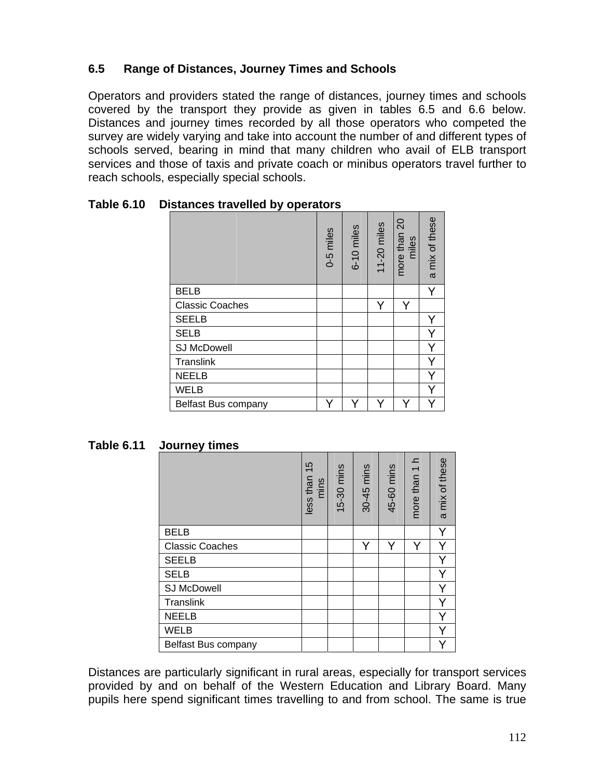# **6.5 Range of Distances, Journey Times and Schools**

Operators and providers stated the range of distances, journey times and schools covered by the transport they provide as given in tables 6.5 and 6.6 below. Distances and journey times recorded by all those operators who competed the survey are widely varying and take into account the number of and different types of schools served, bearing in mind that many children who avail of ELB transport services and those of taxis and private coach or minibus operators travel further to reach schools, especially special schools.

|                        |  | 0-5 miles | 6-10 miles | 11-20 miles | more than 20<br>miles | a mix of these |
|------------------------|--|-----------|------------|-------------|-----------------------|----------------|
| <b>BELB</b>            |  |           |            |             |                       |                |
| <b>Classic Coaches</b> |  |           |            | Y           | Y                     |                |
| <b>SEELB</b>           |  |           |            |             |                       |                |
| <b>SELB</b>            |  |           |            |             |                       |                |
| <b>SJ McDowell</b>     |  |           |            |             |                       |                |
| <b>Translink</b>       |  |           |            |             |                       |                |
| <b>NEELB</b>           |  |           |            |             |                       |                |
| <b>WELB</b>            |  |           |            |             |                       |                |
| Belfast Bus company    |  |           |            |             |                       |                |

**Table 6.10 Distances travelled by operators** 

|                        | less than 15<br>mins | 15-30 mins | 30-45 mins | 45-60 mins | more than 1 h | a mix of these |
|------------------------|----------------------|------------|------------|------------|---------------|----------------|
| <b>BELB</b>            |                      |            |            |            |               | Y              |
| <b>Classic Coaches</b> |                      |            | Y          | Y          | Y             | Y              |
| <b>SEELB</b>           |                      |            |            |            |               |                |
| <b>SELB</b>            |                      |            |            |            |               | Ý              |
| <b>SJ McDowell</b>     |                      |            |            |            |               | Y              |
| Translink              |                      |            |            |            |               |                |
| <b>NEELB</b>           |                      |            |            |            |               | Y              |
| <b>WELB</b>            |                      |            |            |            |               |                |
| Belfast Bus company    |                      |            |            |            |               |                |

Distances are particularly significant in rural areas, especially for transport services provided by and on behalf of the Western Education and Library Board. Many pupils here spend significant times travelling to and from school. The same is true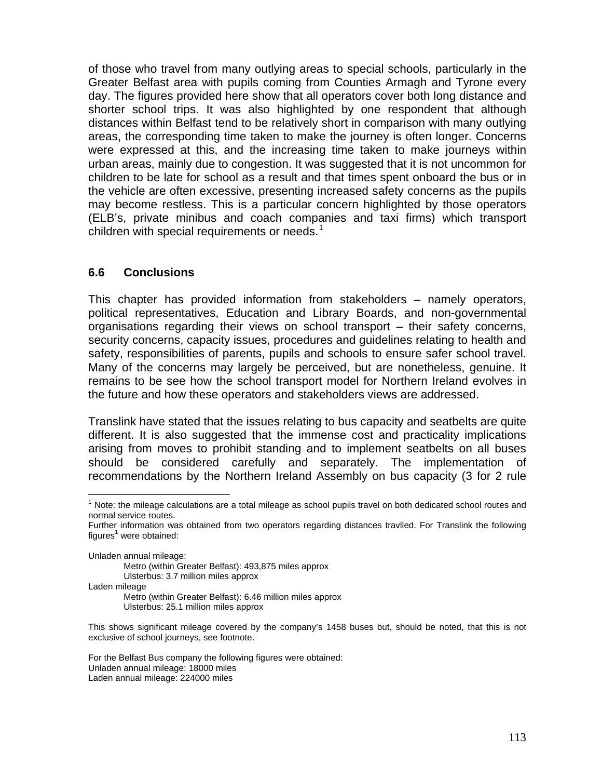of those who travel from many outlying areas to special schools, particularly in the Greater Belfast area with pupils coming from Counties Armagh and Tyrone every day. The figures provided here show that all operators cover both long distance and shorter school trips. It was also highlighted by one respondent that although distances within Belfast tend to be relatively short in comparison with many outlying areas, the corresponding time taken to make the journey is often longer. Concerns were expressed at this, and the increasing time taken to make journeys within urban areas, mainly due to congestion. It was suggested that it is not uncommon for children to be late for school as a result and that times spent onboard the bus or in the vehicle are often excessive, presenting increased safety concerns as the pupils may become restless. This is a particular concern highlighted by those operators (ELB's, private minibus and coach companies and taxi firms) which transport children with special requirements or needs. $1$ 

#### **6.6 Conclusions**

This chapter has provided information from stakeholders – namely operators, political representatives, Education and Library Boards, and non-governmental organisations regarding their views on school transport – their safety concerns, security concerns, capacity issues, procedures and guidelines relating to health and safety, responsibilities of parents, pupils and schools to ensure safer school travel. Many of the concerns may largely be perceived, but are nonetheless, genuine. It remains to be see how the school transport model for Northern Ireland evolves in the future and how these operators and stakeholders views are addressed.

Translink have stated that the issues relating to bus capacity and seatbelts are quite different. It is also suggested that the immense cost and practicality implications arising from moves to prohibit standing and to implement seatbelts on all buses should be considered carefully and separately. The implementation of recommendations by the Northern Ireland Assembly on bus capacity (3 for 2 rule

l

- Metro (within Greater Belfast): 493,875 miles approx Ulsterbus: 3.7 million miles approx Laden mileage
	- Metro (within Greater Belfast): 6.46 million miles approx Ulsterbus: 25.1 million miles approx

<span id="page-16-0"></span> $1$  Note: the mileage calculations are a total mileage as school pupils travel on both dedicated school routes and normal service routes.

Further information was obtained from two operators regarding distances travlled. For Translink the following figures<sup>1</sup> were obtained:

Unladen annual mileage:

This shows significant mileage covered by the company's 1458 buses but, should be noted, that this is not exclusive of school journeys, see footnote.

For the Belfast Bus company the following figures were obtained: Unladen annual mileage: 18000 miles Laden annual mileage: 224000 miles